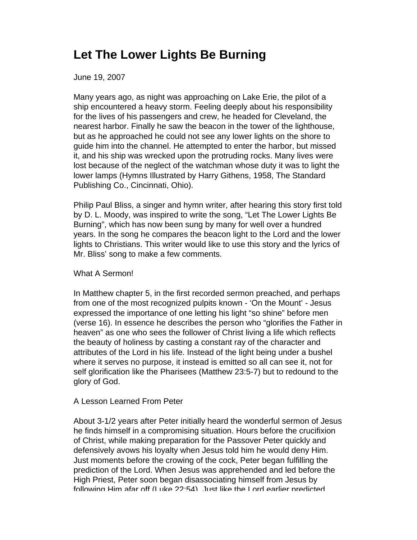## **Let The Lower Lights Be Burning**

June 19, 2007

Many years ago, as night was approaching on Lake Erie, the pilot of a ship encountered a heavy storm. Feeling deeply about his responsibility for the lives of his passengers and crew, he headed for Cleveland, the nearest harbor. Finally he saw the beacon in the tower of the lighthouse, but as he approached he could not see any lower lights on the shore to guide him into the channel. He attempted to enter the harbor, but missed it, and his ship was wrecked upon the protruding rocks. Many lives were lost because of the neglect of the watchman whose duty it was to light the lower lamps (Hymns Illustrated by Harry Githens, 1958, The Standard Publishing Co., Cincinnati, Ohio).

Philip Paul Bliss, a singer and hymn writer, after hearing this story first told by D. L. Moody, was inspired to write the song, "Let The Lower Lights Be Burning", which has now been sung by many for well over a hundred years. In the song he compares the beacon light to the Lord and the lower lights to Christians. This writer would like to use this story and the lyrics of Mr. Bliss' song to make a few comments.

## What A Sermon!

In Matthew chapter 5, in the first recorded sermon preached, and perhaps from one of the most recognized pulpits known - 'On the Mount' - Jesus expressed the importance of one letting his light "so shine" before men (verse 16). In essence he describes the person who "glorifies the Father in heaven" as one who sees the follower of Christ living a life which reflects the beauty of holiness by casting a constant ray of the character and attributes of the Lord in his life. Instead of the light being under a bushel where it serves no purpose, it instead is emitted so all can see it, not for self glorification like the Pharisees (Matthew 23:5-7) but to redound to the glory of God.

## A Lesson Learned From Peter

About 3-1/2 years after Peter initially heard the wonderful sermon of Jesus he finds himself in a compromising situation. Hours before the crucifixion of Christ, while making preparation for the Passover Peter quickly and defensively avows his loyalty when Jesus told him he would deny Him. Just moments before the crowing of the cock, Peter began fulfilling the prediction of the Lord. When Jesus was apprehended and led before the High Priest, Peter soon began disassociating himself from Jesus by following Him afar off (Luke 22:54). Just like the Lord earlier predicted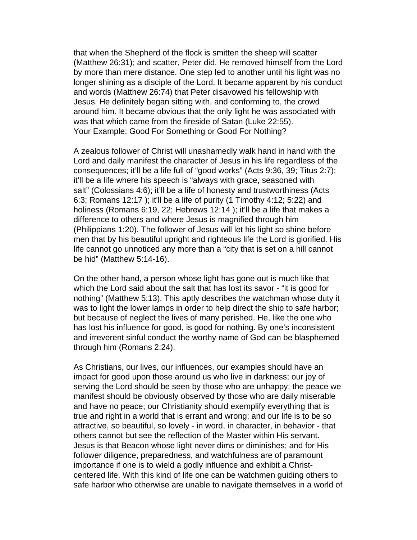that when the Shepherd of the flock is smitten the sheep will scatter (Matthew 26:31); and scatter, Peter did. He removed himself from the Lord by more than mere distance. One step led to another until his light was no longer shining as a disciple of the Lord. It became apparent by his conduct and words (Matthew 26:74) that Peter disavowed his fellowship with Jesus. He definitely began sitting with, and conforming to, the crowd around him. It became obvious that the only light he was associated with was that which came from the fireside of Satan (Luke 22:55). Your Example: Good For Something or Good For Nothing?

A zealous follower of Christ will unashamedly walk hand in hand with the Lord and daily manifest the character of Jesus in his life regardless of the consequences; it'll be a life full of "good works" (Acts 9:36, 39; Titus 2:7); it'll be a life where his speech is "always with grace, seasoned with salt" (Colossians 4:6); it'll be a life of honesty and trustworthiness (Acts 6:3; Romans 12:17 ); it'll be a life of purity (1 Timothy 4:12; 5:22) and holiness (Romans 6:19, 22; Hebrews 12:14 ); it'll be a life that makes a difference to others and where Jesus is magnified through him (Philippians 1:20). The follower of Jesus will let his light so shine before men that by his beautiful upright and righteous life the Lord is glorified. His life cannot go unnoticed any more than a "city that is set on a hill cannot be hid" (Matthew 5:14-16).

On the other hand, a person whose light has gone out is much like that which the Lord said about the salt that has lost its savor - "it is good for nothing" (Matthew 5:13). This aptly describes the watchman whose duty it was to light the lower lamps in order to help direct the ship to safe harbor; but because of neglect the lives of many perished. He, like the one who has lost his influence for good, is good for nothing. By one's inconsistent and irreverent sinful conduct the worthy name of God can be blasphemed through him (Romans 2:24).

As Christians, our lives, our influences, our examples should have an impact for good upon those around us who live in darkness; our joy of serving the Lord should be seen by those who are unhappy; the peace we manifest should be obviously observed by those who are daily miserable and have no peace; our Christianity should exemplify everything that is true and right in a world that is errant and wrong; and our life is to be so attractive, so beautiful, so lovely - in word, in character, in behavior - that others cannot but see the reflection of the Master within His servant. Jesus is that Beacon whose light never dims or diminishes; and for His follower diligence, preparedness, and watchfulness are of paramount importance if one is to wield a godly influence and exhibit a Christcentered life. With this kind of life one can be watchmen guiding others to safe harbor who otherwise are unable to navigate themselves in a world of